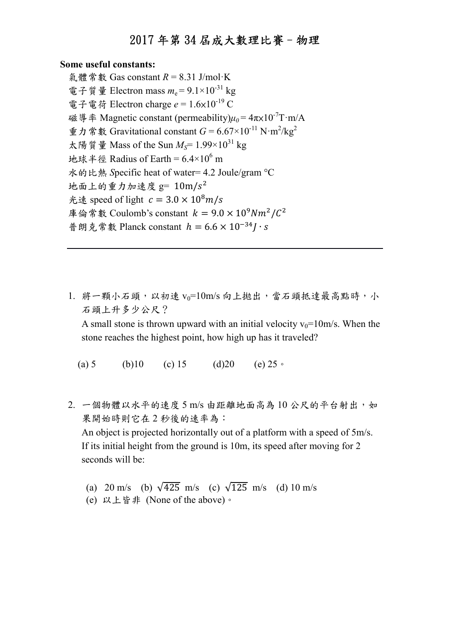#### Some useful constants:

氣體常數 Gas constant  $R = 8.31$  J/mol·K 電子質量 Electron mass  $m_e = 9.1 \times 10^{-31}$  kg 電子電荷 Electron charge  $e = 1.6 \times 10^{-19}$  C 磁導率 Magnetic constant (permeability) $\mu_0 = 4\pi \times 10^{-7}$ T·m/A 重力常數 Gravitational constant  $G = 6.67 \times 10^{-11} \text{ N} \cdot \text{m}^2/\text{kg}^2$ 太陽質量 Mass of the Sun  $M_S$ = 1.99×10<sup>31</sup> kg 地球半徑 Radius of Earth =  $6.4 \times 10^6$  m 水的比熱 Specific heat of water= 4.2 Joule/gram °C 地面上的重力加速度  $g = 10 \text{m/s}^2$ 光速 speed of light  $c = 3.0 \times 10^8 m/s$ 庫倫常數 Coulomb's constant  $k = 9.0 \times 10^9 Nm^2/C^2$ 普朗克常數 Planck constant  $h = 6.6 \times 10^{-34}$ *I* · *s* 

- 1. 將一顆小石頭,以初速 vo=10m/s 向上拋出,當石頭抵達最高點時,小 石頭上升多少公尺? A small stone is thrown upward with an initial velocity  $v_0=10$ m/s. When the stone reaches the highest point, how high up has it traveled?
	- (a) 5 (b) 10 (c) 15 (d) 20 (e) 25  $\circ$
- 2. 一個物體以水平的速度 5 m/s 由距離地面高為 10 公尺的平台射出,如 果開始時則它在 2 秒後的速率為: An object is projected horizontally out of a platform with a speed of 5m/s. If its initial height from the ground is 10m, its speed after moving for 2 seconds will be:
	- (a) 20 m/s (b)  $\sqrt{425}$  m/s (c)  $\sqrt{125}$  m/s (d) 10 m/s
	- (e) 以上皆非 (None of the above)。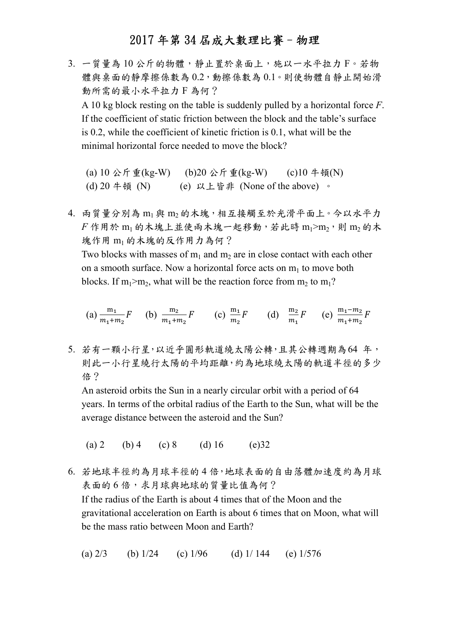3. 一質量為10公斤的物體,靜止置於桌面上,施以一水平拉力 F。若物 體與桌面的靜摩擦係數為 0.2,動擦係數為 0.1。則使物體自靜止開始滑 動所需的最小水平拉力 F 為何? A 10 kg block resting on the table is suddenly pulled by a horizontal force F. If the coefficient of static friction between the block and the table's surface is 0.2, while the coefficient of kinetic friction is 0.1, what will be the minimal horizontal force needed to move the block?

(a) 10 公斤重(kg-W) (b)20 公斤重(kg-W) (c)10 牛頓(N) (d) 20 牛頓 (N) (e) 以上皆非 (None of the above) 。

4. 兩質量分別為 m1 與 m2 的木塊,相互接觸至於光滑平面上。今以水平力  $F$ 作用於 m<sub>1</sub> 的木塊上並使兩木塊一起移動, 若此時 m<sub>1</sub>>m<sub>2</sub>,則 m<sub>2</sub> 的木 塊作用 m<sup>1</sup> 的木塊的反作用力為何? Two blocks with masses of  $m_1$  and  $m_2$  are in close contact with each other on a smooth surface. Now a horizontal force acts on  $m<sub>1</sub>$  to move both blocks. If  $m_1>m_2$ , what will be the reaction force from  $m_2$  to  $m_1$ ?

(a) 
$$
\frac{m_1}{m_1 + m_2} F
$$
 (b)  $\frac{m_2}{m_1 + m_2} F$  (c)  $\frac{m_1}{m_2} F$  (d)  $\frac{m_2}{m_1} F$  (e)  $\frac{m_1 - m_2}{m_1 + m_2} F$ 

5. 若有一顆小行星,以近乎圓形軌道繞太陽公轉,且其公轉週期為64 年, 則此一小行星繞行太陽的平均距離,約為地球繞太陽的軌道半徑的多少 倍?

An asteroid orbits the Sun in a nearly circular orbit with a period of 64 years. In terms of the orbital radius of the Earth to the Sun, what will be the average distance between the asteroid and the Sun?

(a) 2 (b) 4 (c) 8 (d) 16 (e) 32

6. 若地球半徑約為月球半徑的 4 倍,地球表面的自由落體加速度約為月球 表面的6倍,求月球與地球的質量比值為何? If the radius of the Earth is about 4 times that of the Moon and the gravitational acceleration on Earth is about 6 times that on Moon, what will be the mass ratio between Moon and Earth?

(a)  $2/3$  (b)  $1/24$  (c)  $1/96$  (d)  $1/144$  (e)  $1/576$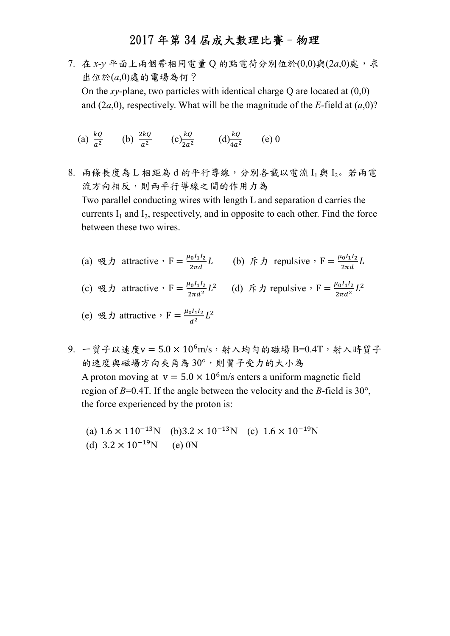- 7. 在 x-y 平面上兩個帶相同電量 Q 的點電荷分別位於 $(0,0)$ 與 $(2a,0)$ 處, 求 出位於(a,0)處的電場為何? On the xy-plane, two particles with identical charge  $Q$  are located at  $(0,0)$ and (2a,0), respectively. What will be the magnitude of the E-field at  $(a,0)$ ?
	- (a)  $\frac{kQ}{a^2}$  (b)  $\frac{2kQ}{a^2}$  (c)  $\frac{kQ}{2a^2}$  (d)  $\frac{kQ}{4a^2}$  (e) 0
- 8. 兩條長度為 L 相距為 d 的平行導線,分別各載以電流 I1與 I2。若兩電 流方向相反,則兩平行導線之間的作用力為 Two parallel conducting wires with length L and separation d carries the currents  $I_1$  and  $I_2$ , respectively, and in opposite to each other. Find the force between these two wires.
	- (a)  $\mathfrak{R} \mathfrak{H}$  attractive,  $F = \frac{\mu_0 I_1 I_2}{2\pi d} L$  (b)  $\mathfrak{f} \mathfrak{H}$  repulsive,  $F = \frac{\mu_0 I_1 I_2}{2\pi d} L$

(c)  $\mathfrak{R} \cdot \mathfrak{h}$  attractive,  $F = \frac{\mu_0 I_1 I_2}{2 \pi d^2} L$ <sup>2</sup> (d)  $\oint \mathcal{F} \mathcal{D}$  repulsive,  $F = \frac{\mu_0 I_1 I_2}{2\pi d^2} L$  $\frac{2}{1}$ 

(e) 
$$
\Re \pi
$$
 attractive  $\cdot$  F =  $\frac{\mu_0 I_1 I_2}{d^2} L^2$ 

 $9.$  一質子以速度v =  $5.0 \times 10^6$ m/s, 射入均勻的磁場 B=0.4T, 射入時質子 的速度與磁場方向夾角為 30°,則質子受力的大小為 A proton moving at  $v = 5.0 \times 10^6$  m/s enters a uniform magnetic field region of  $B=0.4$ T. If the angle between the velocity and the B-field is 30°, the force experienced by the proton is:

(a)  $1.6 \times 110^{-13}$ N (b) $3.2 \times 10^{-13}$ N (c)  $1.6 \times 10^{-19}$ N (d)  $3.2 \times 10^{-19}$ N (e) 0N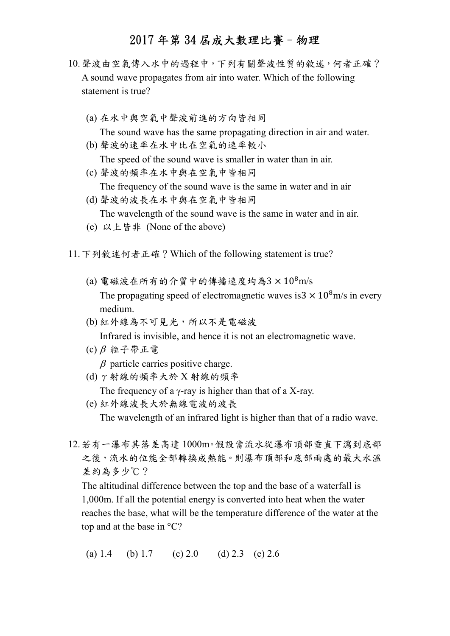- 10.聲波由空氣傳入水中的過程中,下列有關聲波性質的敘述,何者正確? A sound wave propagates from air into water. Which of the following statement is true?
	- (a) 在水中與空氣中聲波前進的方向皆相同 The sound wave has the same propagating direction in air and water.
	- (b) 聲波的速率在水中比在空氣的速率較小 The speed of the sound wave is smaller in water than in air.
	- (c) 聲波的頻率在水中與在空氣中皆相同 The frequency of the sound wave is the same in water and in air
	- (d) 聲波的波長在水中與在空氣中皆相同 The wavelength of the sound wave is the same in water and in air.
	- (e) 以上皆非 (None of the above)
- 11.下列敘述何者正確?Which of the following statement is true?
	- (a) 電磁波在所有的介質中的傳播速度均為 $3 \times 10^8$ m/s The propagating speed of electromagnetic waves is  $3 \times 10^8$  m/s in every medium.
	- (b) 紅外線為不可見光,所以不是電磁波 Infrared is invisible, and hence it is not an electromagnetic wave.
	- (c)  $\beta$  粒子帶正電

 $\beta$  particle carries positive charge.

(d) γ射線的頻率大於 X 射線的頻率

The frequency of a  $\gamma$ -ray is higher than that of a X-ray.

(e) 紅外線波長大於無線電波的波長

The wavelength of an infrared light is higher than that of a radio wave.

12.若有一瀑布其落差高達 1000m。假設當流水從瀑布頂部垂直下瀉到底部 之後,流水的位能全部轉換成熱能。則瀑布頂部和底部兩處的最大水溫 差約為多少℃?

The altitudinal difference between the top and the base of a waterfall is 1,000m. If all the potential energy is converted into heat when the water reaches the base, what will be the temperature difference of the water at the top and at the base in  $°C$ ?

(a) 1.4 (b) 1.7 (c) 2.0 (d) 2.3 (e) 2.6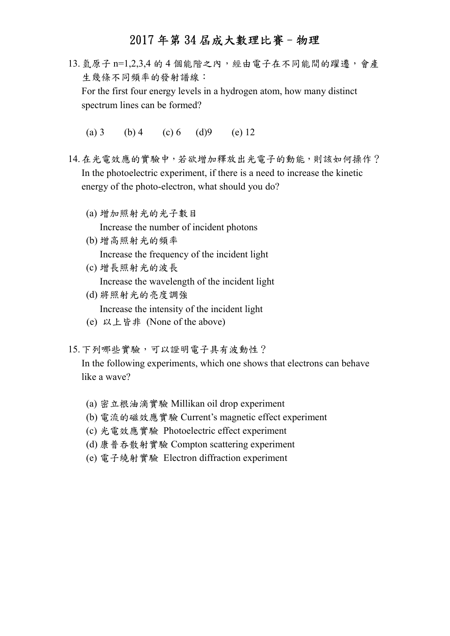- 13.氫原子 n=1,2,3,4 的 4 個能階之內,經由電子在不同能間的躍遷,會產 生幾條不同頻率的發射譜線: For the first four energy levels in a hydrogen atom, how many distinct spectrum lines can be formed?
	- (a) 3 (b) 4 (c) 6 (d) 9 (e) 12
- 14.在光電效應的實驗中,若欲增加釋放出光電子的動能,則該如何操作? In the photoelectric experiment, if there is a need to increase the kinetic energy of the photo-electron, what should you do?
	- (a) 增加照射光的光子數目

Increase the number of incident photons

- (b) 增高照射光的頻率 Increase the frequency of the incident light
- (c) 增長照射光的波長 Increase the wavelength of the incident light
- (d) 將照射光的亮度調強 Increase the intensity of the incident light
- (e) 以上皆非 (None of the above)
- 15.下列哪些實驗,可以證明電子具有波動性?

In the following experiments, which one shows that electrons can behave like a wave?

- (a) 密立根油滴實驗 Millikan oil drop experiment
- (b) 電流的磁效應實驗 Current's magnetic effect experiment
- (c) 光電效應實驗 Photoelectric effect experiment
- (d) 康普吞散射實驗 Compton scattering experiment
- (e) 電子繞射實驗 Electron diffraction experiment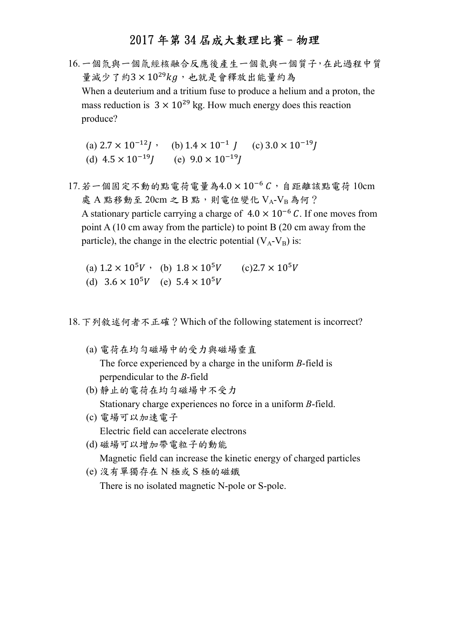- 16.一個氘與一個氚經核融合反應後產生一個氦與一個質子,在此過程中質 量減少了約3×10<sup>29</sup> $kg$ ,也就是會釋放出能量約為 When a deuterium and a tritium fuse to produce a helium and a proton, the mass reduction is  $3 \times 10^{29}$  kg. How much energy does this reaction produce?
	- (a)  $2.7 \times 10^{-12}$ *j*, (b)  $1.4 \times 10^{-1}$  *j* (c)  $3.0 \times 10^{-19}$ *j* (d)  $4.5 \times 10^{-19}$  (e)  $9.0 \times 10^{-19}$
- $17.$ 若一個固定不動的點電荷電量為 $4.0 \times 10^{-6}$ C, 自距離該點電荷  $10 \text{cm}$ 處 A 點移動至  $20 \text{cm}$  之 B 點, 則電位變化  $V_A$ - $V_B$ 為何? A stationary particle carrying a charge of  $4.0 \times 10^{-6}$  C. If one moves from point A (10 cm away from the particle) to point B (20 cm away from the particle), the change in the electric potential  $(V_A-V_B)$  is:
	- (a)  $1.2 \times 10^5 V$ , (b)  $1.8 \times 10^5 V$  (c) $2.7 \times 10^5 V$ (d)  $3.6 \times 10^5 V$  (e)  $5.4 \times 10^5 V$

18.下列敘述何者不正確?Which of the following statement is incorrect?

- (a) 電荷在均勻磁場中的受力與磁場垂直 The force experienced by a charge in the uniform  $B$ -field is perpendicular to the B-field
- (b) 靜止的電荷在均勻磁場中不受力 Stationary charge experiences no force in a uniform B-field.
- (c) 電場可以加速電子 Electric field can accelerate electrons
- (d) 磁場可以增加帶電粒子的動能 Magnetic field can increase the kinetic energy of charged particles
- (e) 沒有單獨存在 N 極或 S 極的磁鐵 There is no isolated magnetic N-pole or S-pole.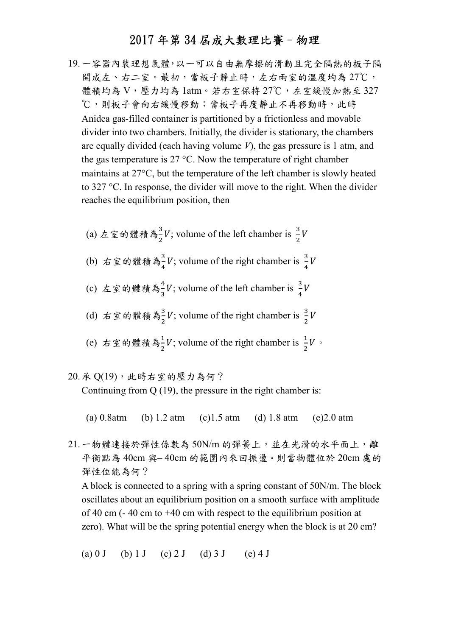19.一容器內裝理想氣體,以一可以自由無摩擦的滑動且完全隔熱的板子隔 開成左、右二室。最初,當板子靜止時,左右兩室的溫度均為 27℃, 體積均為 V,壓力均為 1atm。若右室保持 27℃,左室緩慢加熱至 327 ℃,則板子會向右緩慢移動;當板子再度靜止不再移動時,此時 Anidea gas-filled container is partitioned by a frictionless and movable divider into two chambers. Initially, the divider is stationary, the chambers are equally divided (each having volume  $V$ ), the gas pressure is 1 atm, and the gas temperature is  $27 \text{ °C}$ . Now the temperature of right chamber maintains at  $27^{\circ}$ C, but the temperature of the left chamber is slowly heated to  $327 \text{ °C}$ . In response, the divider will move to the right. When the divider reaches the equilibrium position, then

\n- (a) 
$$
\pm \leq \omega
$$
 禫積為<sup>3</sup>  $V$ ; volume of the left chamber is  $\frac{3}{2}V$
\n- (b)  $\pm \leq \omega$  繮積為<sup>3</sup>  $V$ ; volume of the right chamber is  $\frac{3}{4}V$
\n- (c)  $\pm \leq \omega$  繮{ 1}  $\frac{3}{4}V$ ; volume of the left chamber is  $\frac{3}{4}V$
\n- (d)  $\pm \leq \omega$  10  $\frac{3}{4}V$ ; volume of the right chamber is  $\frac{3}{2}V$
\n- (e)  $\pm \leq \omega$  10  $\frac{3}{4}V$ ; volume of the right chamber is  $\frac{1}{2}V$
\n

20. ု 
$$
Q(19) \cdot \text{·}{\text{!}}\times \text{·}{\text{!}}\times \text{·}{\text{!}}\times \text{·}{\text{!}}\times \text{·}{\text{!}}\times \text{·}{\text{!}}\times \text{·}{\text{!}}\times \text{·}{\text{!}}\times \text{·}{\text{!}}\times \text{·}{\text{!}}\times \text{·}{\text{!}}\times \text{·}{\text{!}}\times \text{·}{\text{!}}\times \text{·}{\text{!}}\times \text{·}{\text{!}}\times \text{·}{\text{!}}\times \text{·}{\text{!}}\times \text{·}{\text{!}}\times \text{·}{\text{!}}\times \text{·}{\text{!}}\times \text{·}{\text{!}}\times \text{·}{\text{!}}\times \text{·}{\text{!}}\times \text{·}{\text{!}}\times \text{·}{\text{!}}\times \text{·}{\text{!}}\times \text{·}{\text{!}}\times \text{·}{\text{!}}\times \text{·}{\text{!}}\times \text{·}{\text{!}}\times \text{·}{\text{!}}\times \text{·}{\text{!}}\times \text{·}{\text{!}}\times \text{·}{\text{!}}\times \text{·}{\text{!}}\times \text{·}{\text{!}}\times \text{·}{\text{!}}\times \text{·}{\text{!}}\times \text{·}{\text{!}}\times \text{·}{\text{!}}\times \text{·}{\text{!}}\times \text{·}{\text{!}}\times \text{·}{\text{!}}\times \text{·}{\text{!}}\times \text{·}{\text{!}}\times \text{·}{\text{!}}\times \text{·}{\text{!}}\times \text{·}{\text{!}}\times \text{·}{\text{!}}\times \text{·}{\text{!}}\times \text{·}{\text{!}}\times \text{·}{\text{!}}\times \text{·}{\text{!}}\times \text{·}{\text{!}}\times \text{·}{\text{!}}\times \text{·}{\text{!}}\times \text{·}{\text{!}}\times \text{·}{\text{!}}\times \text{·}{\text{!}}\times \text{·}{\text{!}}\times \text{·}{\text{!}}\times \text{·}{\text{!}}\times \text{·}{
$$

(a) 0.8atm (b) 1.2 atm (c)1.5 atm (d) 1.8 atm (e)2.0 atm

21. 一物體連接於彈性係數為 50N/m 的彈簧上, 並在光滑的水平面上, 離 平衡點為 40cm 與– 40cm 的範圍內來回振盪。則當物體位於 20cm 處的 彈性位能為何?

A block is connected to a spring with a spring constant of 50N/m. The block oscillates about an equilibrium position on a smooth surface with amplitude of 40 cm (- 40 cm to +40 cm with respect to the equilibrium position at zero). What will be the spring potential energy when the block is at 20 cm?

(a) 0 J (b) 1 J (c) 2 J (d) 3 J (e) 4 J